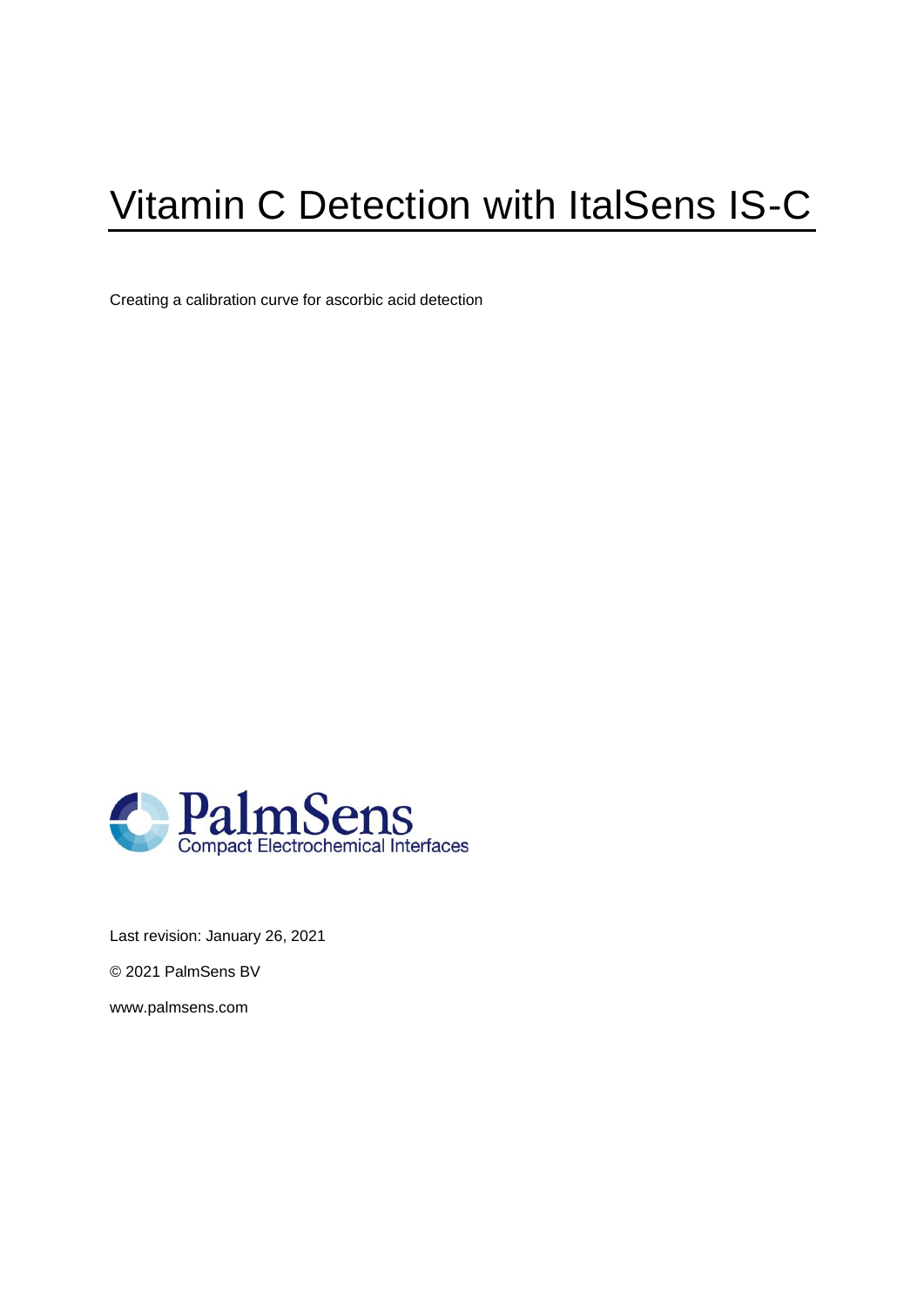# Vitamin C Detection with ItalSens IS-C

Creating a calibration curve for ascorbic acid detection



Last revision: January 26, 2021

© 2021 PalmSens BV

www.palmsens.com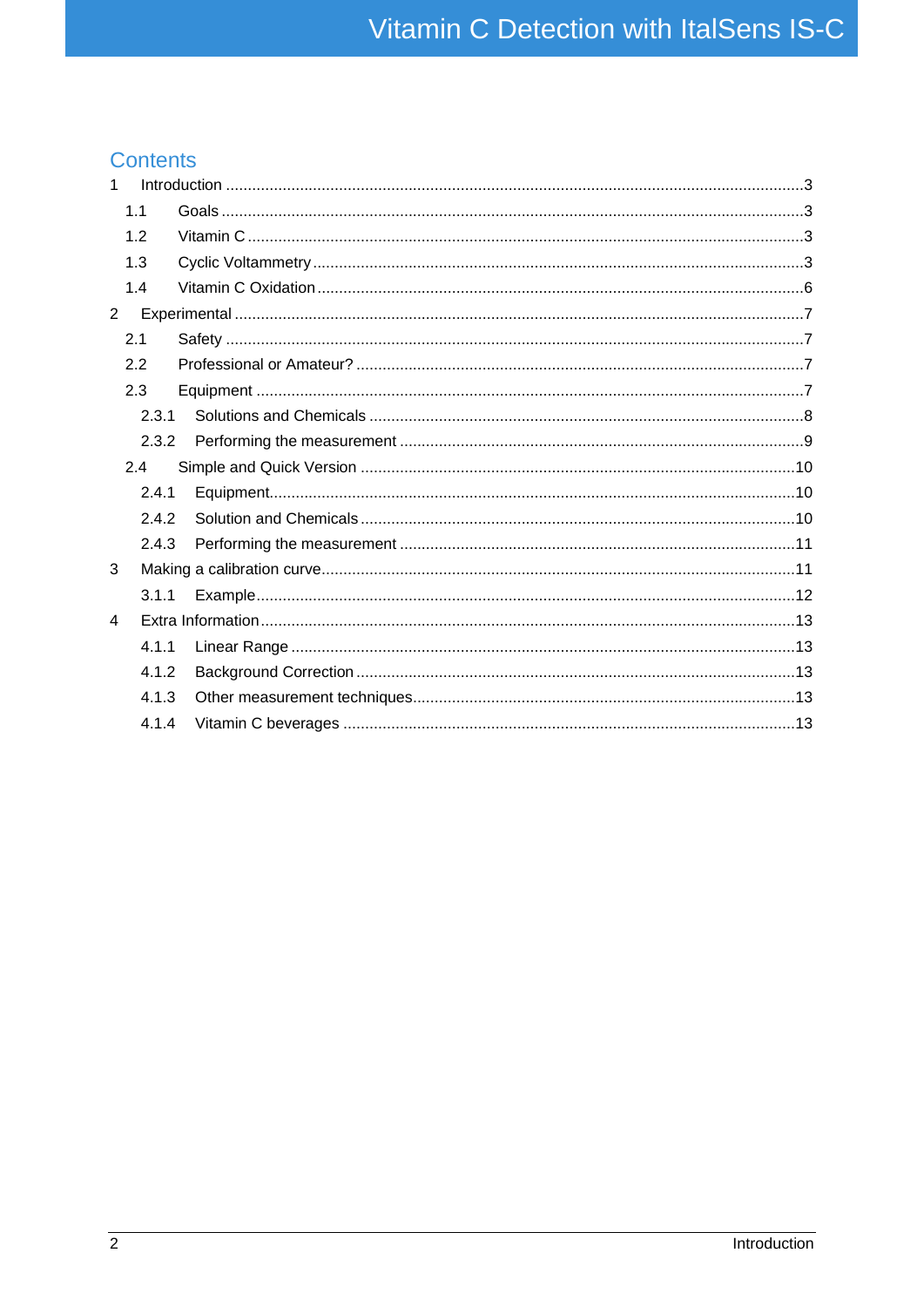## **Contents**

| $\mathbf{1}$ |                |  |  |
|--------------|----------------|--|--|
|              | 1.1            |  |  |
|              | 1.2            |  |  |
|              | 1.3            |  |  |
|              | 1.4            |  |  |
|              | $\overline{2}$ |  |  |
|              | 2.1            |  |  |
|              | 2.2            |  |  |
|              | 2.3            |  |  |
|              | 2.3.1          |  |  |
|              | 2.3.2          |  |  |
|              | 2.4            |  |  |
|              | 2.4.1          |  |  |
|              | 2.4.2          |  |  |
|              | 2.4.3          |  |  |
| 3            |                |  |  |
|              | 3.1.1          |  |  |
| 4            |                |  |  |
|              | 4.1.1          |  |  |
|              | 4.1.2          |  |  |
|              | 4.1.3          |  |  |
|              | 4.1.4          |  |  |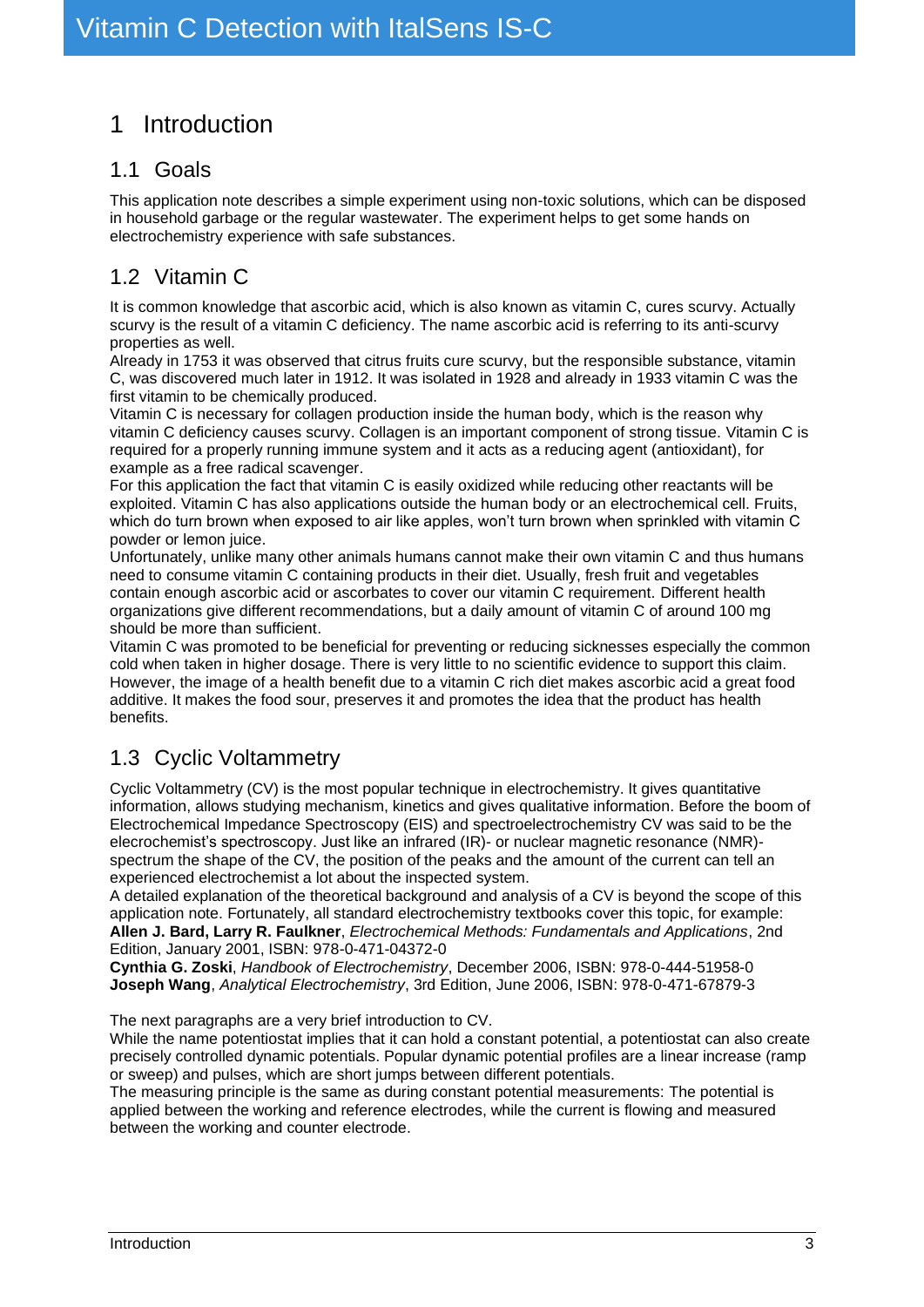# <span id="page-2-0"></span>1 Introduction

# <span id="page-2-1"></span>1.1 Goals

This application note describes a simple experiment using non-toxic solutions, which can be disposed in household garbage or the regular wastewater. The experiment helps to get some hands on electrochemistry experience with safe substances.

# <span id="page-2-2"></span>1.2 Vitamin C

It is common knowledge that ascorbic acid, which is also known as vitamin C, cures scurvy. Actually scurvy is the result of a vitamin C deficiency. The name ascorbic acid is referring to its anti-scurvy properties as well.

Already in 1753 it was observed that citrus fruits cure scurvy, but the responsible substance, vitamin C, was discovered much later in 1912. It was isolated in 1928 and already in 1933 vitamin C was the first vitamin to be [chemically produced.](https://en.wikipedia.org/wiki/Chemical_synthesis)

Vitamin C is necessary for collagen production inside the human body, which is the reason why vitamin C deficiency causes scurvy. Collagen is an important component of strong tissue. Vitamin C is required for a properly running immune system and it acts as a reducing agent (antioxidant), for example as a free radical scavenger.

For this application the fact that vitamin C is easily oxidized while reducing other reactants will be exploited. Vitamin C has also applications outside the human body or an electrochemical cell. Fruits, which do turn brown when exposed to air like apples, won't turn brown when sprinkled with vitamin C powder or lemon juice.

Unfortunately, unlike many other animals humans cannot make their own vitamin C and thus humans need to consume vitamin C containing products in their diet. Usually, fresh fruit and vegetables contain enough ascorbic acid or ascorbates to cover our vitamin C requirement. Different health organizations give different recommendations, but a daily amount of vitamin C of around 100 mg should be more than sufficient.

Vitamin C was promoted to be beneficial for preventing or reducing sicknesses especially the common cold when taken in higher dosage. There is very little to no scientific evidence to support this claim. However, the image of a health benefit due to a vitamin C rich diet makes ascorbic acid a great food additive. It makes the food sour, preserves it and promotes the idea that the product has health benefits.

# <span id="page-2-3"></span>1.3 Cyclic Voltammetry

Cyclic Voltammetry (CV) is the most popular technique in electrochemistry. It gives quantitative information, allows studying mechanism, kinetics and gives qualitative information. Before the boom of Electrochemical Impedance Spectroscopy (EIS) and spectroelectrochemistry CV was said to be the elecrochemist's spectroscopy. Just like an infrared (IR)- or nuclear magnetic resonance (NMR) spectrum the shape of the CV, the position of the peaks and the amount of the current can tell an experienced electrochemist a lot about the inspected system.

A detailed explanation of the theoretical background and analysis of a CV is beyond the scope of this application note. Fortunately, all standard electrochemistry textbooks cover this topic, for example: **Allen J. Bard, Larry R. Faulkner**, *Electrochemical Methods: Fundamentals and Applications*, 2nd Edition, January 2001, ISBN: 978-0-471-04372-0

**Cynthia G. Zoski**, *Handbook of Electrochemistry*, December 2006, ISBN: 978-0-444-51958-0 **Joseph Wang**, *Analytical Electrochemistry*, 3rd Edition, June 2006, ISBN: 978-0-471-67879-3

The next paragraphs are a very brief introduction to CV.

While the name potentiostat implies that it can hold a constant potential, a potentiostat can also create precisely controlled dynamic potentials. Popular dynamic potential profiles are a linear increase (ramp or sweep) and pulses, which are short jumps between different potentials.

The measuring principle is the same as during constant potential measurements: The potential is applied between the working and reference electrodes, while the current is flowing and measured between the working and counter electrode.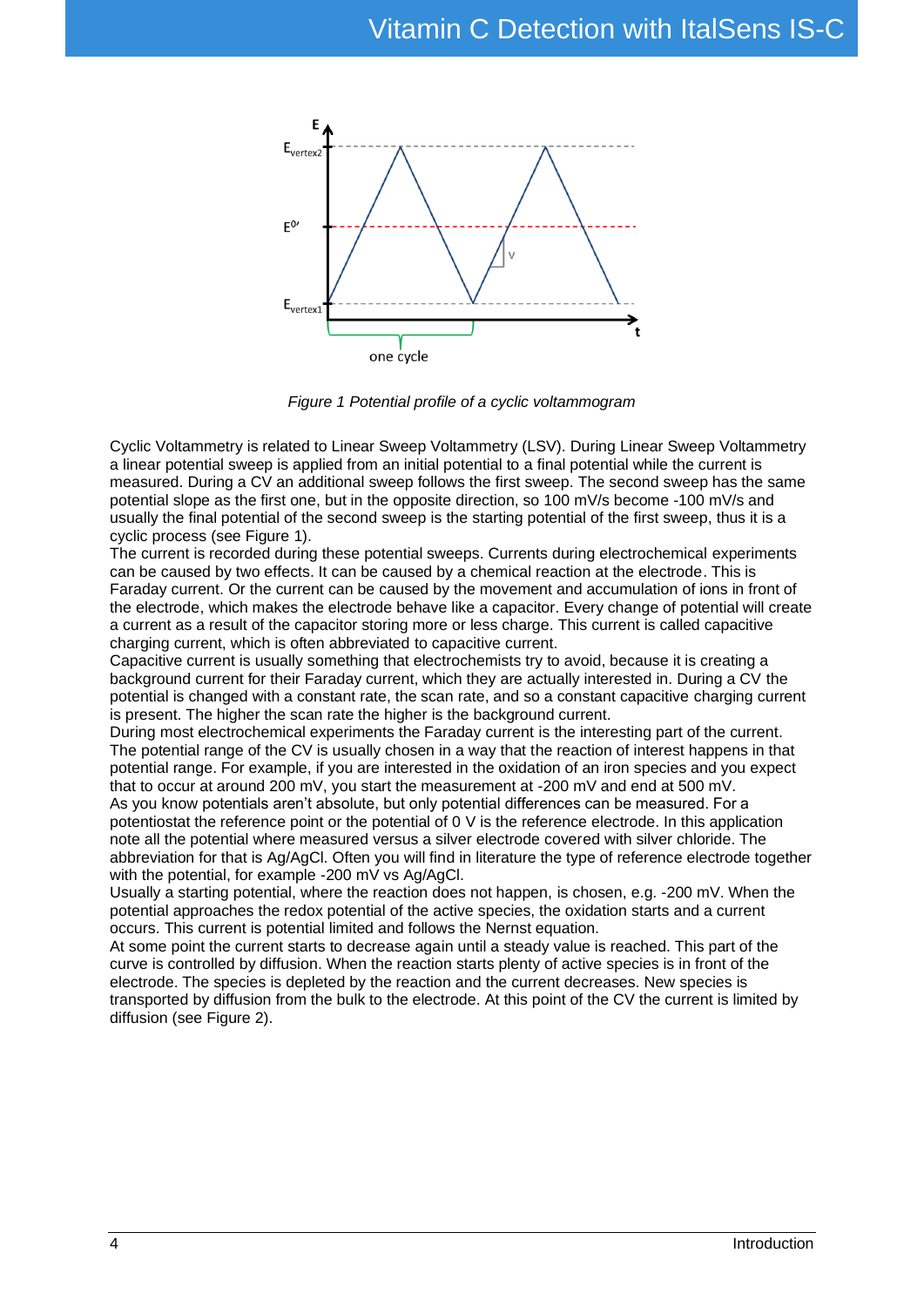

*Figure 1 Potential profile of a cyclic voltammogram*

<span id="page-3-0"></span>Cyclic Voltammetry is related to Linear Sweep Voltammetry (LSV). During Linear Sweep Voltammetry a linear potential sweep is applied from an initial potential to a final potential while the current is measured. During a CV an additional sweep follows the first sweep. The second sweep has the same potential slope as the first one, but in the opposite direction, so 100 mV/s become -100 mV/s and usually the final potential of the second sweep is the starting potential of the first sweep, thus it is a cyclic process (see [Figure 1\)](#page-3-0).

The current is recorded during these potential sweeps. Currents during electrochemical experiments can be caused by two effects. It can be caused by a chemical reaction at the electrode. This is Faraday current. Or the current can be caused by the movement and accumulation of ions in front of the electrode, which makes the electrode behave like a capacitor. Every change of potential will create a current as a result of the capacitor storing more or less charge. This current is called capacitive charging current, which is often abbreviated to capacitive current.

Capacitive current is usually something that electrochemists try to avoid, because it is creating a background current for their Faraday current, which they are actually interested in. During a CV the potential is changed with a constant rate, the scan rate, and so a constant capacitive charging current is present. The higher the scan rate the higher is the background current.

During most electrochemical experiments the Faraday current is the interesting part of the current. The potential range of the CV is usually chosen in a way that the reaction of interest happens in that potential range. For example, if you are interested in the oxidation of an iron species and you expect that to occur at around 200 mV, you start the measurement at -200 mV and end at 500 mV. As you know potentials aren't absolute, but only potential differences can be measured. For a potentiostat the reference point or the potential of 0 V is the reference electrode. In this application note all the potential where measured versus a silver electrode covered with silver chloride. The abbreviation for that is Ag/AgCl. Often you will find in literature the type of reference electrode together with the potential, for example -200 mV vs Ag/AgCl.

Usually a starting potential, where the reaction does not happen, is chosen, e.g. -200 mV. When the potential approaches the redox potential of the active species, the oxidation starts and a current occurs. This current is potential limited and follows the Nernst equation.

At some point the current starts to decrease again until a steady value is reached. This part of the curve is controlled by diffusion. When the reaction starts plenty of active species is in front of the electrode. The species is depleted by the reaction and the current decreases. New species is transported by diffusion from the bulk to the electrode. At this point of the CV the current is limited by diffusion (see [Figure 2\)](#page-4-0).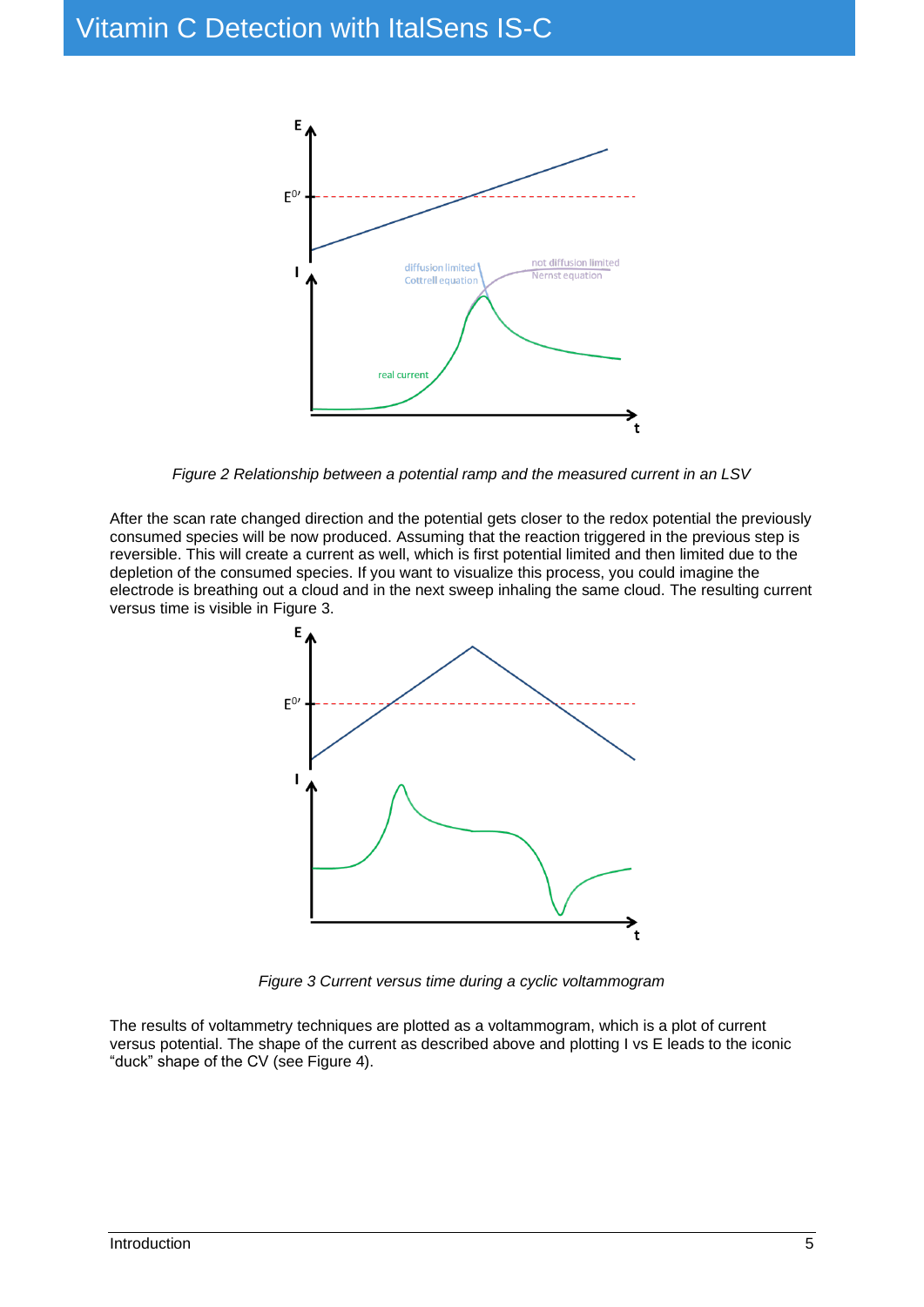

*Figure 2 Relationship between a potential ramp and the measured current in an LSV*

<span id="page-4-0"></span>After the scan rate changed direction and the potential gets closer to the redox potential the previously consumed species will be now produced. Assuming that the reaction triggered in the previous step is reversible. This will create a current as well, which is first potential limited and then limited due to the depletion of the consumed species. If you want to visualize this process, you could imagine the electrode is breathing out a cloud and in the next sweep inhaling the same cloud. The resulting current versus time is visible in [Figure 3.](#page-4-1)



*Figure 3 Current versus time during a cyclic voltammogram*

<span id="page-4-1"></span>The results of voltammetry techniques are plotted as a voltammogram, which is a plot of current versus potential. The shape of the current as described above and plotting I vs E leads to the iconic "duck" shape of the CV (see [Figure 4\)](#page-5-1).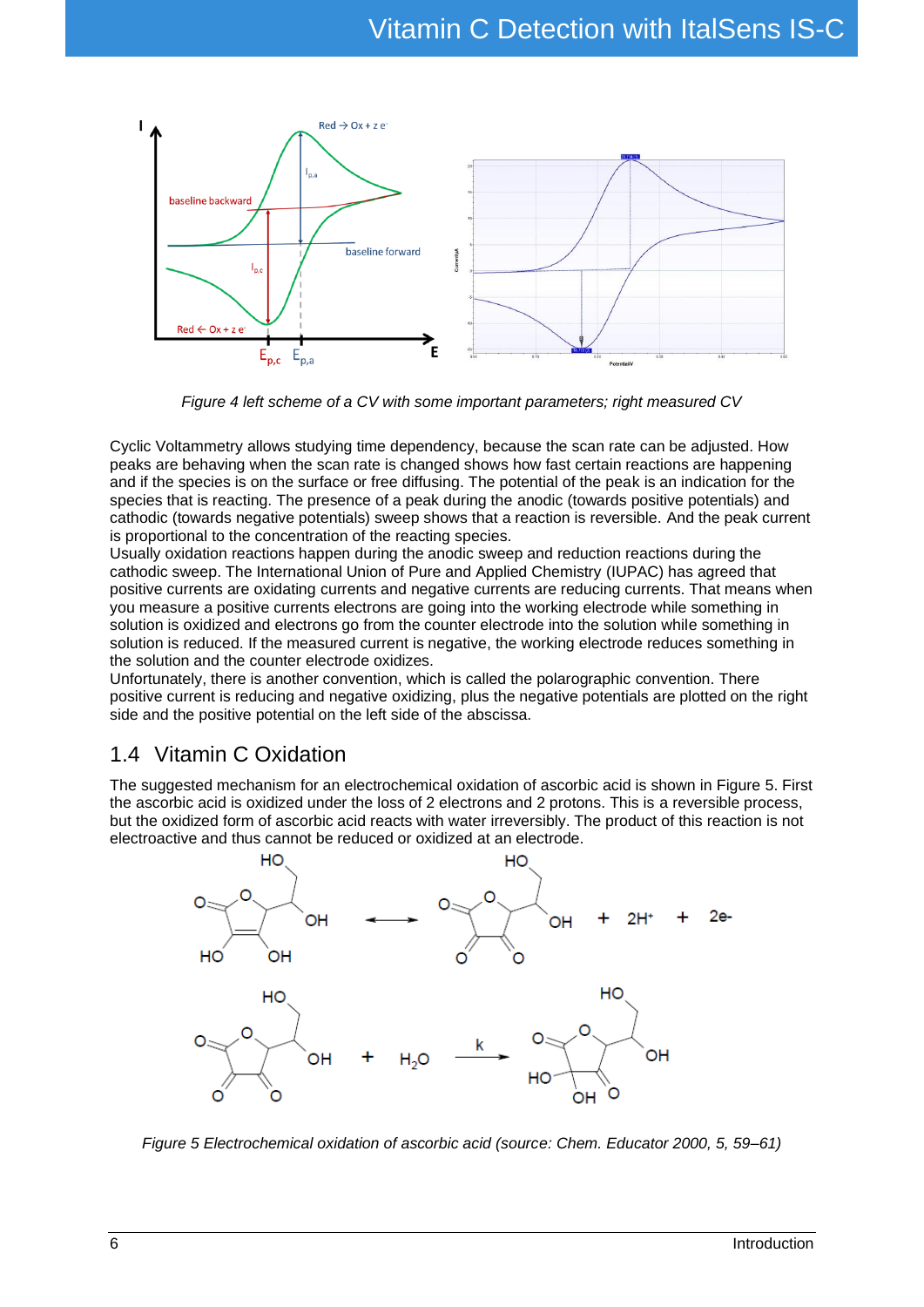

*Figure 4 left scheme of a CV with some important parameters; right measured CV*

<span id="page-5-1"></span>Cyclic Voltammetry allows studying time dependency, because the scan rate can be adjusted. How peaks are behaving when the scan rate is changed shows how fast certain reactions are happening and if the species is on the surface or free diffusing. The potential of the peak is an indication for the species that is reacting. The presence of a peak during the anodic (towards positive potentials) and cathodic (towards negative potentials) sweep shows that a reaction is reversible. And the peak current is proportional to the concentration of the reacting species.

Usually oxidation reactions happen during the anodic sweep and reduction reactions during the cathodic sweep. The International Union of Pure and Applied Chemistry (IUPAC) has agreed that positive currents are oxidating currents and negative currents are reducing currents. That means when you measure a positive currents electrons are going into the working electrode while something in solution is oxidized and electrons go from the counter electrode into the solution while something in solution is reduced. If the measured current is negative, the working electrode reduces something in the solution and the counter electrode oxidizes.

Unfortunately, there is another convention, which is called the polarographic convention. There positive current is reducing and negative oxidizing, plus the negative potentials are plotted on the right side and the positive potential on the left side of the abscissa.

# <span id="page-5-0"></span>1.4 Vitamin C Oxidation

The suggested mechanism for an electrochemical oxidation of ascorbic acid is shown in [Figure 5.](#page-5-2) First the ascorbic acid is oxidized under the loss of 2 electrons and 2 protons. This is a reversible process, but the oxidized form of ascorbic acid reacts with water irreversibly. The product of this reaction is not electroactive and thus cannot be reduced or oxidized at an electrode.



<span id="page-5-2"></span>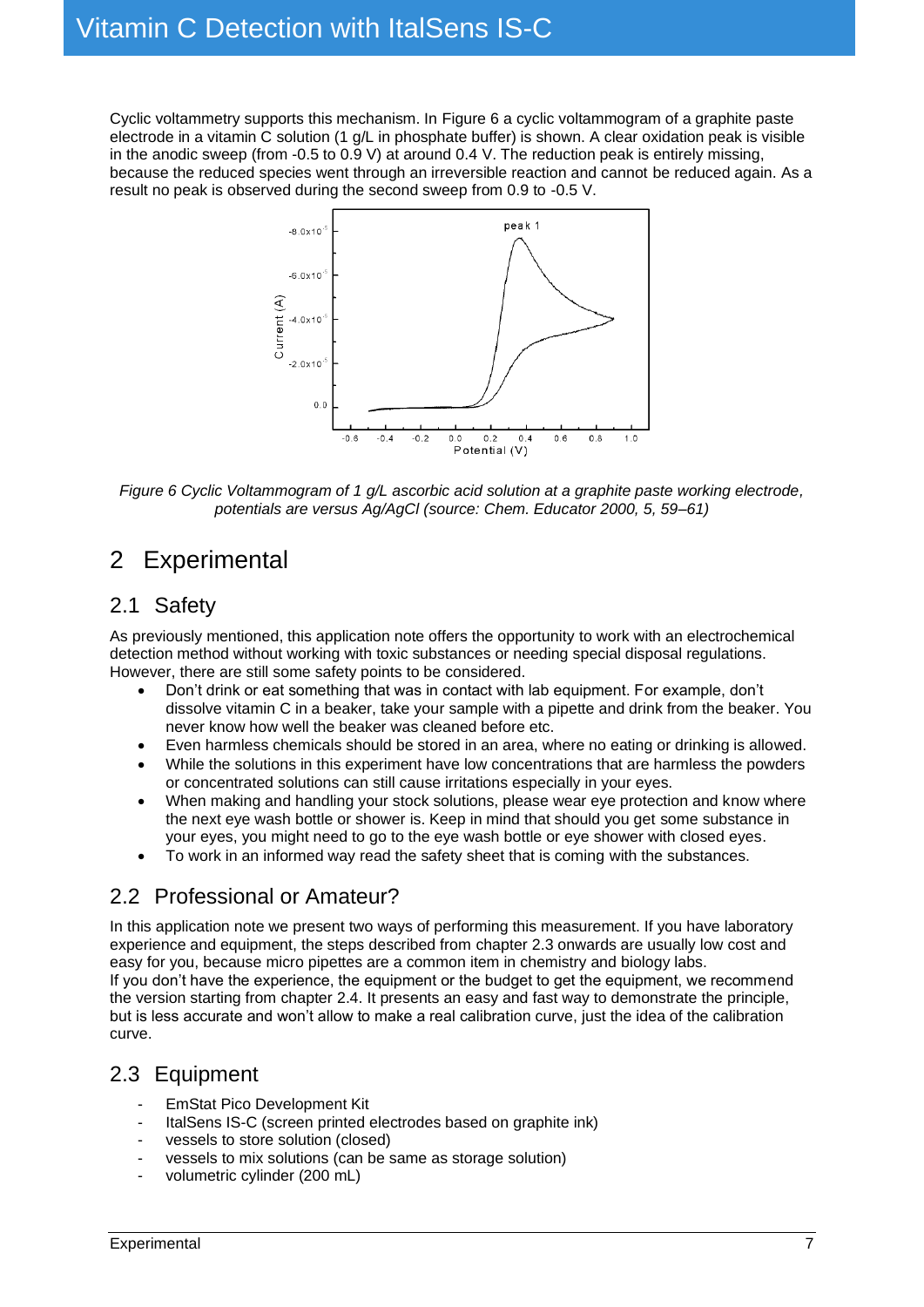Cyclic voltammetry supports this mechanism. In [Figure 6](#page-6-4) a cyclic voltammogram of a graphite paste electrode in a vitamin C solution (1 g/L in phosphate buffer) is shown. A clear oxidation peak is visible in the anodic sweep (from -0.5 to 0.9 V) at around 0.4 V. The reduction peak is entirely missing, because the reduced species went through an irreversible reaction and cannot be reduced again. As a result no peak is observed during the second sweep from 0.9 to -0.5 V.



<span id="page-6-4"></span>*Figure 6 Cyclic Voltammogram of 1 g/L ascorbic acid solution at a graphite paste working electrode, potentials are versus Ag/AgCl (source: Chem. Educator 2000, 5, 59–61)*

# <span id="page-6-0"></span>2 Experimental

# <span id="page-6-1"></span>2.1 Safety

As previously mentioned, this application note offers the opportunity to work with an electrochemical detection method without working with toxic substances or needing special disposal regulations. However, there are still some safety points to be considered.

- Don't drink or eat something that was in contact with lab equipment. For example, don't dissolve vitamin C in a beaker, take your sample with a pipette and drink from the beaker. You never know how well the beaker was cleaned before etc.
- Even harmless chemicals should be stored in an area, where no eating or drinking is allowed.
- While the solutions in this experiment have low concentrations that are harmless the powders or concentrated solutions can still cause irritations especially in your eyes.
- When making and handling your stock solutions, please wear eye protection and know where the next eye wash bottle or shower is. Keep in mind that should you get some substance in your eyes, you might need to go to the eye wash bottle or eye shower with closed eyes.
- To work in an informed way read the safety sheet that is coming with the substances.

# <span id="page-6-2"></span>2.2 Professional or Amateur?

In this application note we present two ways of performing this measurement. If you have laboratory experience and equipment, the steps described from chapter [2.3](#page-6-3) onwards are usually low cost and easy for you, because micro pipettes are a common item in chemistry and biology labs. If you don't have the experience, the equipment or the budget to get the equipment, we recommend the version starting from chapter [2.4.](#page-9-0) It presents an easy and fast way to demonstrate the principle, but is less accurate and won't allow to make a real calibration curve, just the idea of the calibration curve.

# <span id="page-6-3"></span>2.3 Equipment

- EmStat Pico Development Kit
- ItalSens IS-C (screen printed electrodes based on graphite ink)
- vessels to store solution (closed)
- vessels to mix solutions (can be same as storage solution)
- volumetric cylinder (200 mL)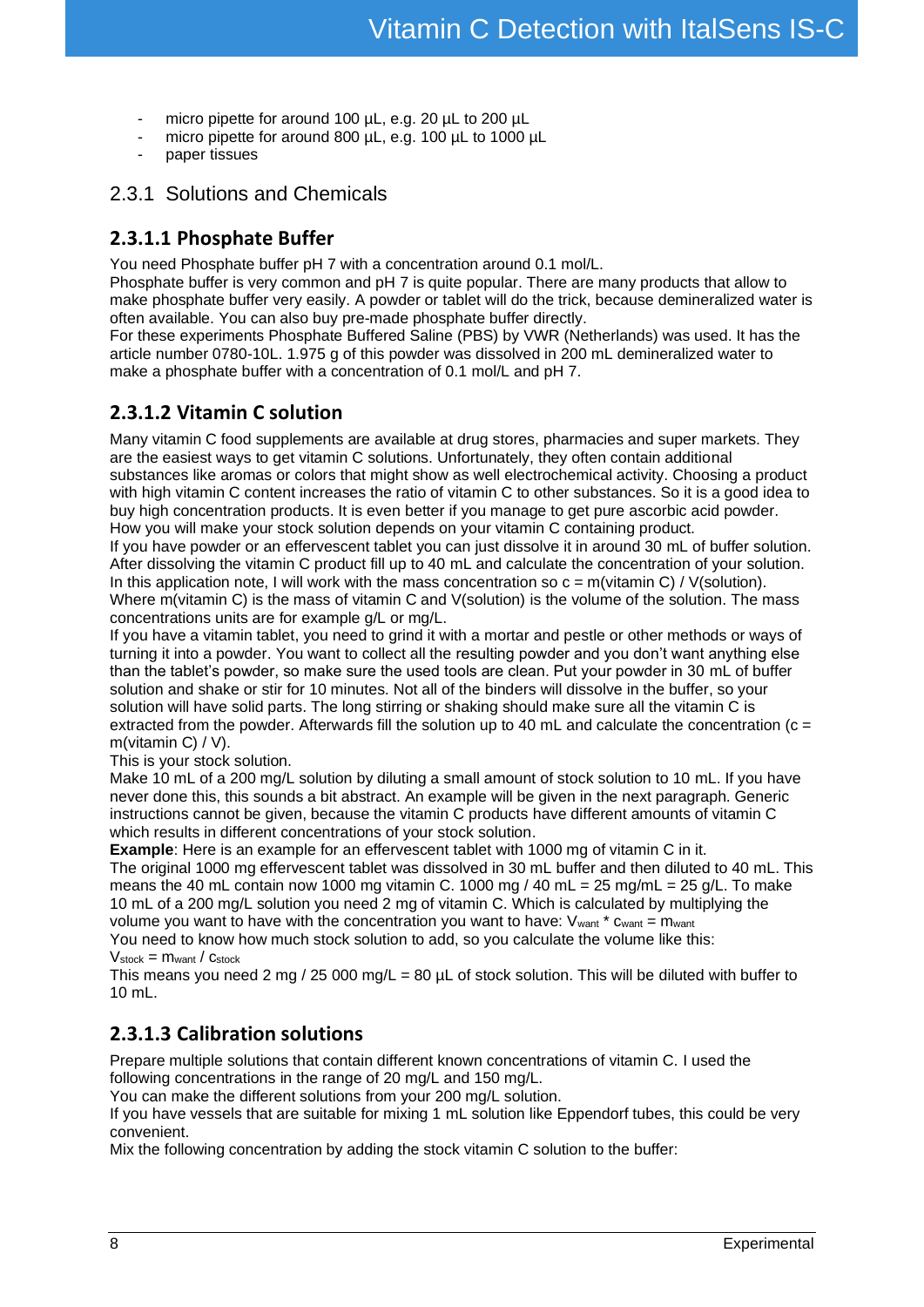- micro pipette for around 100 µL, e.g. 20 µL to 200 µL
- micro pipette for around 800 µL, e.g. 100 µL to 1000 µL
- paper tissues

#### <span id="page-7-0"></span>2.3.1 Solutions and Chemicals

#### <span id="page-7-1"></span>**2.3.1.1 Phosphate Buffer**

You need Phosphate buffer pH 7 with a concentration around 0.1 mol/L.

Phosphate buffer is very common and pH 7 is quite popular. There are many products that allow to make phosphate buffer very easily. A powder or tablet will do the trick, because demineralized water is often available. You can also buy pre-made phosphate buffer directly.

For these experiments Phosphate Buffered Saline (PBS) by VWR (Netherlands) was used. It has the article number 0780-10L. 1.975 g of this powder was dissolved in 200 mL demineralized water to make a phosphate buffer with a concentration of 0.1 mol/L and pH 7.

#### <span id="page-7-2"></span>**2.3.1.2 Vitamin C solution**

Many vitamin C food supplements are available at drug stores, pharmacies and super markets. They are the easiest ways to get vitamin C solutions. Unfortunately, they often contain additional substances like aromas or colors that might show as well electrochemical activity. Choosing a product with high vitamin C content increases the ratio of vitamin C to other substances. So it is a good idea to buy high concentration products. It is even better if you manage to get pure ascorbic acid powder. How you will make your stock solution depends on your vitamin C containing product.

If you have powder or an effervescent tablet you can just dissolve it in around 30 mL of buffer solution. After dissolving the vitamin C product fill up to 40 mL and calculate the concentration of your solution. In this application note, I will work with the mass concentration so  $c = m(v$ itamin C) / V(solution). Where m(vitamin C) is the mass of vitamin C and V(solution) is the volume of the solution. The mass concentrations units are for example g/L or mg/L.

If you have a vitamin tablet, you need to grind it with a mortar and pestle or other methods or ways of turning it into a powder. You want to collect all the resulting powder and you don't want anything else than the tablet's powder, so make sure the used tools are clean. Put your powder in 30 mL of buffer solution and shake or stir for 10 minutes. Not all of the binders will dissolve in the buffer, so your solution will have solid parts. The long stirring or shaking should make sure all the vitamin C is extracted from the powder. Afterwards fill the solution up to 40 mL and calculate the concentration ( $c =$ m(vitamin C) / V).

This is your stock solution.

Make 10 mL of a 200 mg/L solution by diluting a small amount of stock solution to 10 mL. If you have never done this, this sounds a bit abstract. An example will be given in the next paragraph. Generic instructions cannot be given, because the vitamin C products have different amounts of vitamin C which results in different concentrations of your stock solution.

**Example**: Here is an example for an effervescent tablet with 1000 mg of vitamin C in it.

The original 1000 mg effervescent tablet was dissolved in 30 mL buffer and then diluted to 40 mL. This means the 40 mL contain now 1000 mg vitamin C. 1000 mg / 40 mL = 25 mg/mL = 25 g/L. To make 10 mL of a 200 mg/L solution you need 2 mg of vitamin C. Which is calculated by multiplying the volume you want to have with the concentration you want to have:  $V<sub>want</sub> * c<sub>want</sub> = m<sub>want</sub>$ You need to know how much stock solution to add, so you calculate the volume like this:

#### $V_{stock} = m_{want} / c_{stock}$

This means you need 2 mg / 25 000 mg/L = 80  $\mu$ L of stock solution. This will be diluted with buffer to 10 mL.

#### **2.3.1.3 Calibration solutions**

Prepare multiple solutions that contain different known concentrations of vitamin C. I used the following concentrations in the range of 20 mg/L and 150 mg/L.

You can make the different solutions from your 200 mg/L solution.

If you have vessels that are suitable for mixing 1 mL solution like Eppendorf tubes, this could be very convenient.

Mix the following concentration by adding the stock vitamin C solution to the buffer: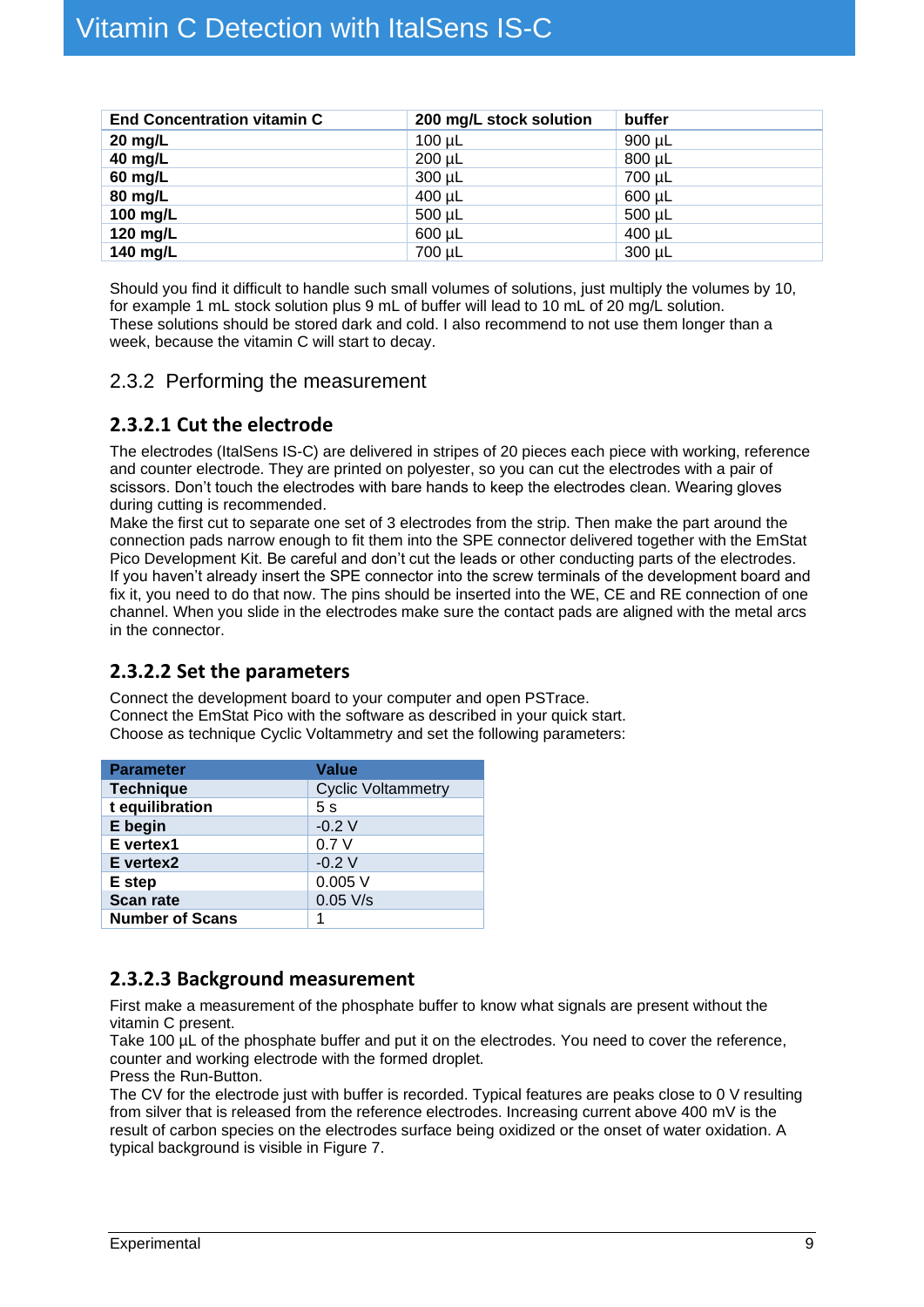| <b>End Concentration vitamin C</b> | 200 mg/L stock solution | buffer |
|------------------------------------|-------------------------|--------|
| $20$ mg/L                          | $100 \mu L$             | 900 µL |
| 40 mg/L                            | $200 \mu L$             | 800 µL |
| 60 mg/L                            | 300 µL                  | 700 µL |
| 80 mg/L                            | 400 µL                  | 600 µL |
| 100 mg/L                           | 500 µL                  | 500 µL |
| 120 mg/L                           | 600 µL                  | 400 µL |
| 140 mg/L                           | 700 µL                  | 300 µL |

Should you find it difficult to handle such small volumes of solutions, just multiply the volumes by 10, for example 1 mL stock solution plus 9 mL of buffer will lead to 10 mL of 20 mg/L solution. These solutions should be stored dark and cold. I also recommend to not use them longer than a week, because the vitamin C will start to decay.

#### <span id="page-8-0"></span>2.3.2 Performing the measurement

#### <span id="page-8-1"></span>**2.3.2.1 Cut the electrode**

The electrodes (ItalSens IS-C) are delivered in stripes of 20 pieces each piece with working, reference and counter electrode. They are printed on polyester, so you can cut the electrodes with a pair of scissors. Don't touch the electrodes with bare hands to keep the electrodes clean. Wearing gloves during cutting is recommended.

Make the first cut to separate one set of 3 electrodes from the strip. Then make the part around the connection pads narrow enough to fit them into the SPE connector delivered together with the EmStat Pico Development Kit. Be careful and don't cut the leads or other conducting parts of the electrodes. If you haven't already insert the SPE connector into the screw terminals of the development board and fix it, you need to do that now. The pins should be inserted into the WE, CE and RE connection of one channel. When you slide in the electrodes make sure the contact pads are aligned with the metal arcs in the connector.

#### <span id="page-8-2"></span>**2.3.2.2 Set the parameters**

Connect the development board to your computer and open PSTrace. Connect the EmStat Pico with the software as described in your quick start. Choose as technique Cyclic Voltammetry and set the following parameters:

| <b>Parameter</b>       | Value                     |  |
|------------------------|---------------------------|--|
| <b>Technique</b>       | <b>Cyclic Voltammetry</b> |  |
| t equilibration        | 5s                        |  |
| E begin                | $-0.2V$                   |  |
| E vertex1              | 0.7V                      |  |
| E vertex2              | $-0.2V$                   |  |
| E step                 | 0.005V                    |  |
| <b>Scan rate</b>       | $0.05$ V/s                |  |
| <b>Number of Scans</b> |                           |  |

#### <span id="page-8-3"></span>**2.3.2.3 Background measurement**

First make a measurement of the phosphate buffer to know what signals are present without the vitamin C present.

Take 100 µL of the phosphate buffer and put it on the electrodes. You need to cover the reference, counter and working electrode with the formed droplet.

Press the Run-Button.

The CV for the electrode just with buffer is recorded. Typical features are peaks close to 0 V resulting from silver that is released from the reference electrodes. Increasing current above 400 mV is the result of carbon species on the electrodes surface being oxidized or the onset of water oxidation. A typical background is visible in [Figure 7.](#page-9-3)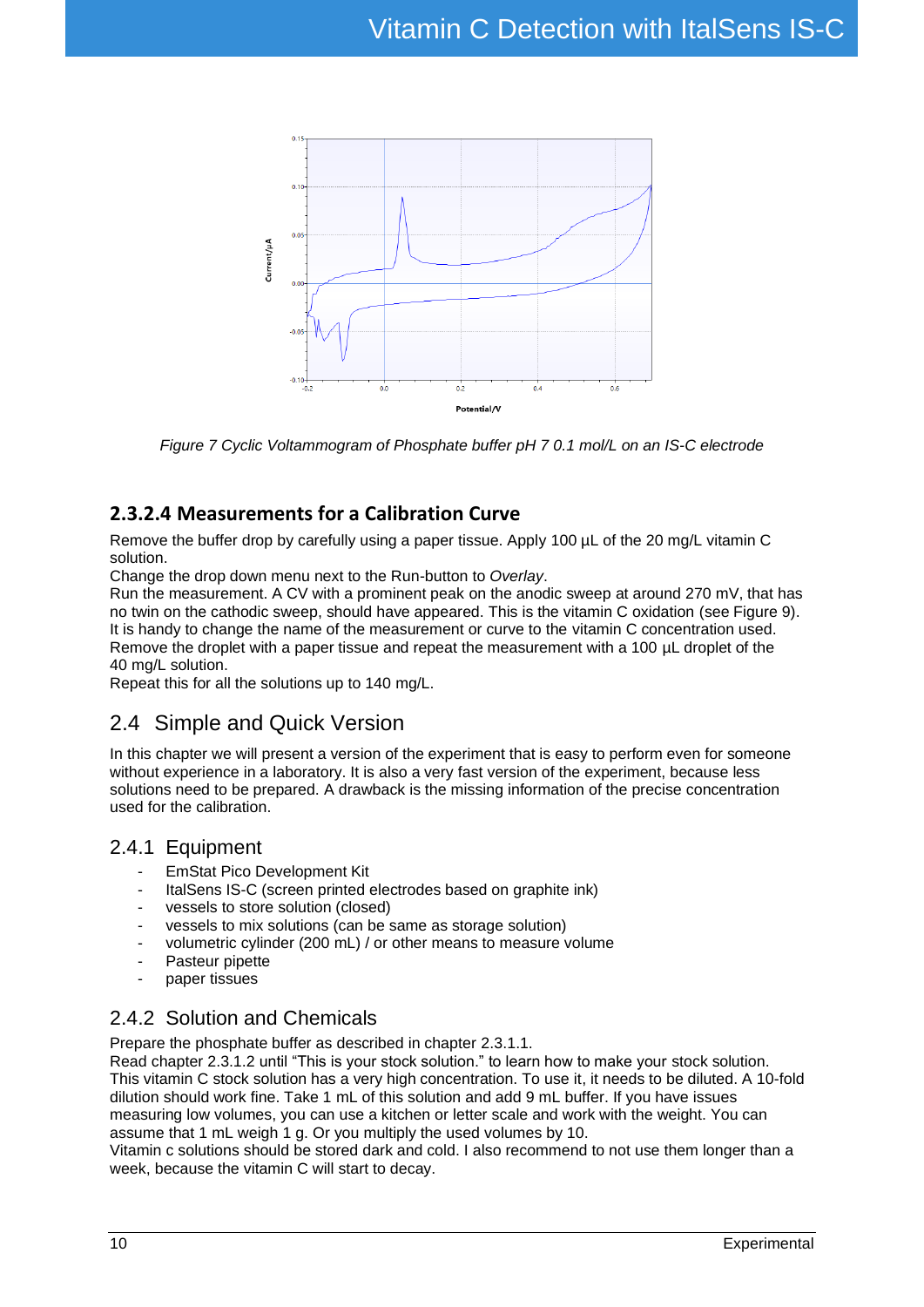

<span id="page-9-3"></span>*Figure 7 Cyclic Voltammogram of Phosphate buffer pH 7 0.1 mol/L on an IS-C electrode*

#### **2.3.2.4 Measurements for a Calibration Curve**

Remove the buffer drop by carefully using a paper tissue. Apply 100 µL of the 20 mg/L vitamin C solution.

Change the drop down menu next to the Run-button to *Overlay*.

Run the measurement. A CV with a prominent peak on the anodic sweep at around 270 mV, that has no twin on the cathodic sweep, should have appeared. This is the vitamin C oxidation (see [Figure 9\)](#page-11-1). It is handy to change the name of the measurement or curve to the vitamin C concentration used. Remove the droplet with a paper tissue and repeat the measurement with a 100 µL droplet of the 40 mg/L solution.

<span id="page-9-0"></span>Repeat this for all the solutions up to 140 mg/L.

## 2.4 Simple and Quick Version

In this chapter we will present a version of the experiment that is easy to perform even for someone without experience in a laboratory. It is also a very fast version of the experiment, because less solutions need to be prepared. A drawback is the missing information of the precise concentration used for the calibration.

#### <span id="page-9-1"></span>2.4.1 Equipment

- EmStat Pico Development Kit
- ItalSens IS-C (screen printed electrodes based on graphite ink)
- vessels to store solution (closed)
- vessels to mix solutions (can be same as storage solution)
- volumetric cylinder (200 mL) / or other means to measure volume
- Pasteur pipette
- paper tissues

## <span id="page-9-2"></span>2.4.2 Solution and Chemicals

Prepare the phosphate buffer as described in chapter [2.3.1.1.](#page-7-1)

Read chapter [2.3.1.2](#page-7-2) until "This is your stock solution." to learn how to make your stock solution. This vitamin C stock solution has a very high concentration. To use it, it needs to be diluted. A 10-fold dilution should work fine. Take 1 mL of this solution and add 9 mL buffer. If you have issues measuring low volumes, you can use a kitchen or letter scale and work with the weight. You can assume that 1 mL weigh 1 g. Or you multiply the used volumes by 10.

Vitamin c solutions should be stored dark and cold. I also recommend to not use them longer than a week, because the vitamin C will start to decay.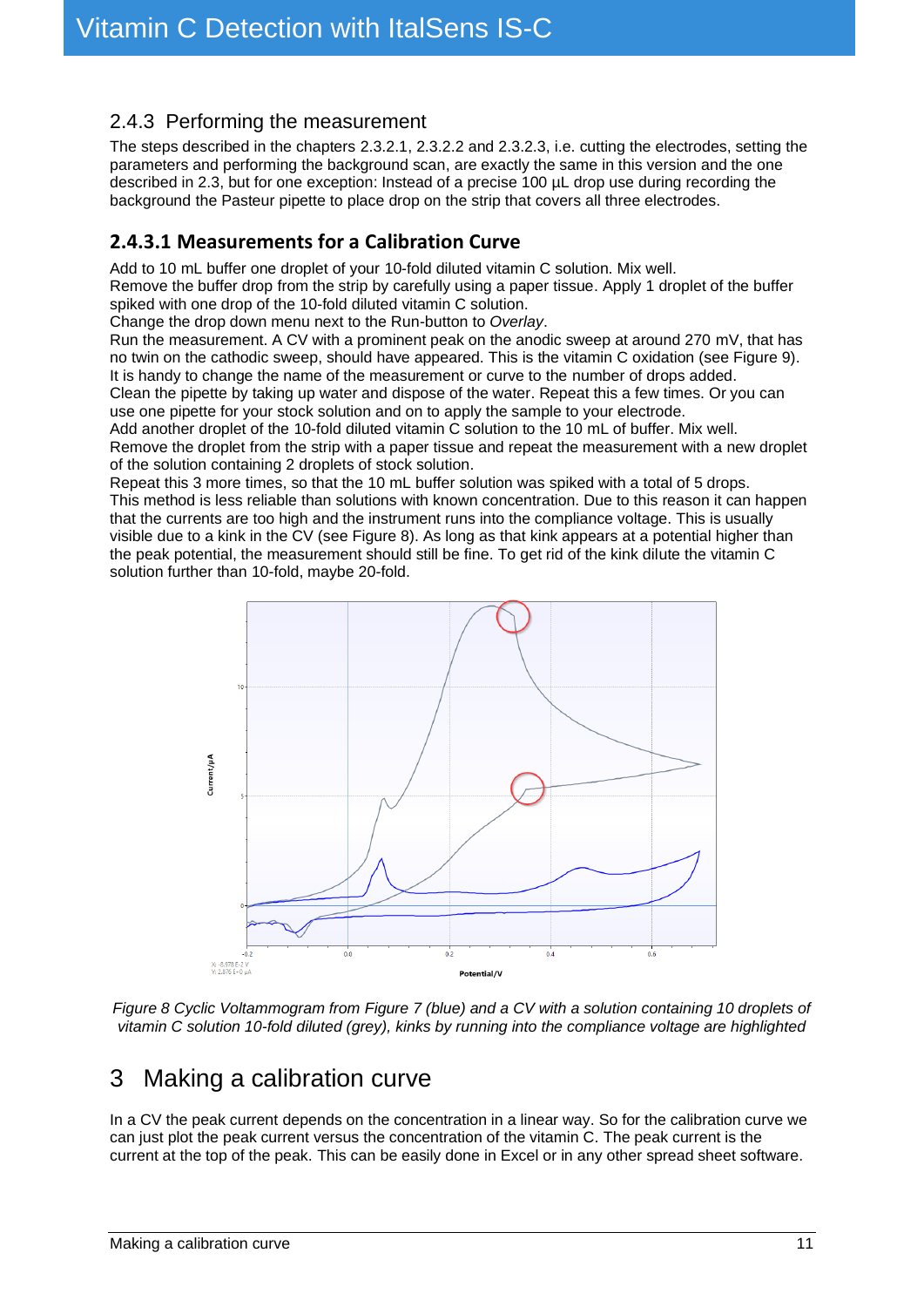#### <span id="page-10-0"></span>2.4.3 Performing the measurement

The steps described in the chapters [2.3.2.1,](#page-8-1) [2.3.2.2](#page-8-2) and [2.3.2.3,](#page-8-3) i.e. cutting the electrodes, setting the parameters and performing the background scan, are exactly the same in this version and the one described in [2.3,](#page-6-3) but for one exception: Instead of a precise 100 µL drop use during recording the background the Pasteur pipette to place drop on the strip that covers all three electrodes.

## **2.4.3.1 Measurements for a Calibration Curve**

Add to 10 mL buffer one droplet of your 10-fold diluted vitamin C solution. Mix well. Remove the buffer drop from the strip by carefully using a paper tissue. Apply 1 droplet of the buffer spiked with one drop of the 10-fold diluted vitamin C solution.

Change the drop down menu next to the Run-button to *Overlay*.

Run the measurement. A CV with a prominent peak on the anodic sweep at around 270 mV, that has no twin on the cathodic sweep, should have appeared. This is the vitamin C oxidation (see [Figure 9\)](#page-11-1). It is handy to change the name of the measurement or curve to the number of drops added. Clean the pipette by taking up water and dispose of the water. Repeat this a few times. Or you can

use one pipette for your stock solution and on to apply the sample to your electrode. Add another droplet of the 10-fold diluted vitamin C solution to the 10 mL of buffer. Mix well.

Remove the droplet from the strip with a paper tissue and repeat the measurement with a new droplet of the solution containing 2 droplets of stock solution.

Repeat this 3 more times, so that the 10 mL buffer solution was spiked with a total of 5 drops. This method is less reliable than solutions with known concentration. Due to this reason it can happen that the currents are too high and the instrument runs into the compliance voltage. This is usually visible due to a kink in the CV (see [Figure 8\)](#page-10-2). As long as that kink appears at a potential higher than the peak potential, the measurement should still be fine. To get rid of the kink dilute the vitamin C solution further than 10-fold, maybe 20-fold.



<span id="page-10-2"></span>*Figure 8 Cyclic Voltammogram from [Figure 7](#page-9-3) (blue) and a CV with a solution containing 10 droplets of vitamin C solution 10-fold diluted (grey), kinks by running into the compliance voltage are highlighted*

# <span id="page-10-1"></span>3 Making a calibration curve

In a CV the peak current depends on the concentration in a linear way. So for the calibration curve we can just plot the peak current versus the concentration of the vitamin C. The peak current is the current at the top of the peak. This can be easily done in Excel or in any other spread sheet software.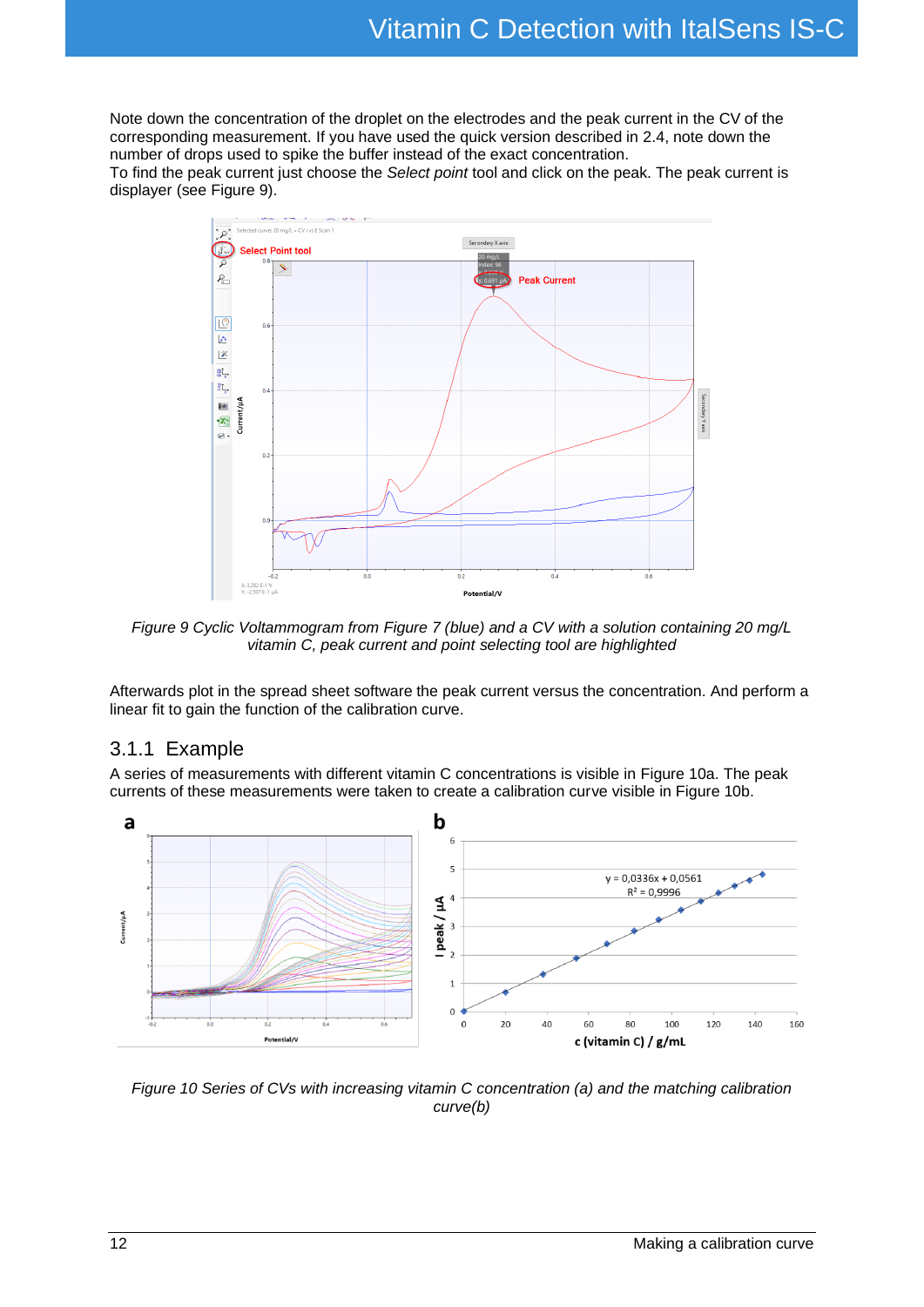Note down the concentration of the droplet on the electrodes and the peak current in the CV of the corresponding measurement. If you have used the quick version described in [2.4,](#page-9-0) note down the number of drops used to spike the buffer instead of the exact concentration.

To find the peak current just choose the *Select point* tool and click on the peak. The peak current is displayer (see [Figure 9\)](#page-11-1).



<span id="page-11-1"></span>*Figure 9 Cyclic Voltammogram from [Figure 7](#page-9-3) (blue) and a CV with a solution containing 20 mg/L vitamin C, peak current and point selecting tool are highlighted*

Afterwards plot in the spread sheet software the peak current versus the concentration. And perform a linear fit to gain the function of the calibration curve.

#### <span id="page-11-0"></span>3.1.1 Example

A series of measurements with different vitamin C concentrations is visible in [Figure 10a](#page-11-2). The peak currents of these measurements were taken to create a calibration curve visible in [Figure 10b](#page-11-2).



<span id="page-11-2"></span>*Figure 10 Series of CVs with increasing vitamin C concentration (a) and the matching calibration curve(b)*